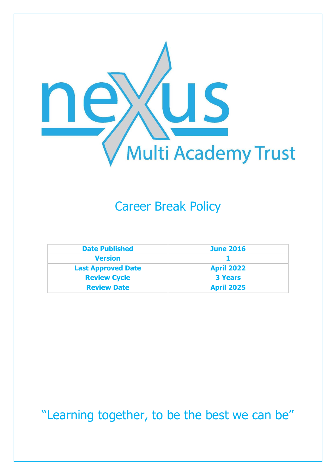

# Career Break Policy

| <b>Date Published</b>     | <b>June 2016</b>  |
|---------------------------|-------------------|
| <b>Version</b>            |                   |
| <b>Last Approved Date</b> | <b>April 2022</b> |
| <b>Review Cycle</b>       | <b>3 Years</b>    |
| <b>Review Date</b>        | <b>April 2025</b> |

"Learning together, to be the best we can be"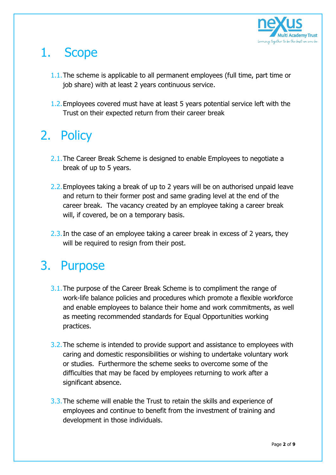

# 1. Scope

- 1.1. The scheme is applicable to all permanent employees (full time, part time or job share) with at least 2 years continuous service.
- 1.2.Employees covered must have at least 5 years potential service left with the Trust on their expected return from their career break

## 2. Policy

- 2.1. The Career Break Scheme is designed to enable Employees to negotiate a break of up to 5 years.
- 2.2.Employees taking a break of up to 2 years will be on authorised unpaid leave and return to their former post and same grading level at the end of the career break. The vacancy created by an employee taking a career break will, if covered, be on a temporary basis.
- 2.3. In the case of an employee taking a career break in excess of 2 years, they will be required to resign from their post.

## 3. Purpose

- 3.1.The purpose of the Career Break Scheme is to compliment the range of work-life balance policies and procedures which promote a flexible workforce and enable employees to balance their home and work commitments, as well as meeting recommended standards for Equal Opportunities working practices.
- 3.2.The scheme is intended to provide support and assistance to employees with caring and domestic responsibilities or wishing to undertake voluntary work or studies. Furthermore the scheme seeks to overcome some of the difficulties that may be faced by employees returning to work after a significant absence.
- 3.3.The scheme will enable the Trust to retain the skills and experience of employees and continue to benefit from the investment of training and development in those individuals.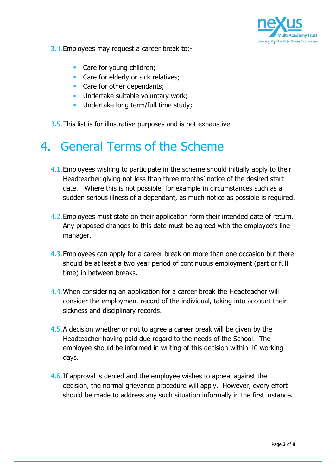

- 3.4.Employees may request a career break to:-
	- **Care for young children;**
	- Care for elderly or sick relatives;
	- Care for other dependants;
	- **Undertake suitable voluntary work:**
	- **Undertake long term/full time study;**
- 3.5.This list is for illustrative purposes and is not exhaustive.

# 4. General Terms of the Scheme

- 4.1.Employees wishing to participate in the scheme should initially apply to their Headteacher giving not less than three months' notice of the desired start date. Where this is not possible, for example in circumstances such as a sudden serious illness of a dependant, as much notice as possible is required.
- 4.2.Employees must state on their application form their intended date of return. Any proposed changes to this date must be agreed with the employee's line manager.
- 4.3.Employees can apply for a career break on more than one occasion but there should be at least a two year period of continuous employment (part or full time) in between breaks.
- 4.4.When considering an application for a career break the Headteacher will consider the employment record of the individual, taking into account their sickness and disciplinary records.
- 4.5.A decision whether or not to agree a career break will be given by the Headteacher having paid due regard to the needs of the School. The employee should be informed in writing of this decision within 10 working days.
- 4.6.If approval is denied and the employee wishes to appeal against the decision, the normal grievance procedure will apply. However, every effort should be made to address any such situation informally in the first instance.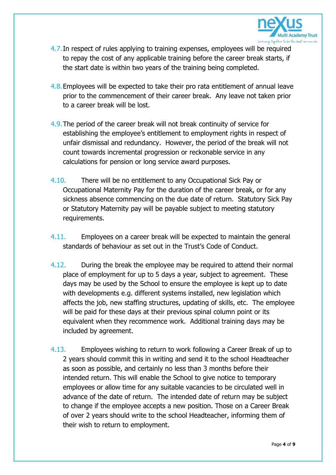

- 4.7.In respect of rules applying to training expenses, employees will be required to repay the cost of any applicable training before the career break starts, if the start date is within two years of the training being completed.
- 4.8.Employees will be expected to take their pro rata entitlement of annual leave prior to the commencement of their career break. Any leave not taken prior to a career break will be lost.
- 4.9.The period of the career break will not break continuity of service for establishing the employee's entitlement to employment rights in respect of unfair dismissal and redundancy. However, the period of the break will not count towards incremental progression or reckonable service in any calculations for pension or long service award purposes.
- 4.10. There will be no entitlement to any Occupational Sick Pay or Occupational Maternity Pay for the duration of the career break, or for any sickness absence commencing on the due date of return. Statutory Sick Pay or Statutory Maternity pay will be payable subject to meeting statutory requirements.
- 4.11. Employees on a career break will be expected to maintain the general standards of behaviour as set out in the Trust's Code of Conduct.
- 4.12. During the break the employee may be required to attend their normal place of employment for up to 5 days a year, subject to agreement. These days may be used by the School to ensure the employee is kept up to date with developments e.g. different systems installed, new legislation which affects the job, new staffing structures, updating of skills, etc. The employee will be paid for these days at their previous spinal column point or its equivalent when they recommence work. Additional training days may be included by agreement.
- 4.13. Employees wishing to return to work following a Career Break of up to 2 years should commit this in writing and send it to the school Headteacher as soon as possible, and certainly no less than 3 months before their intended return. This will enable the School to give notice to temporary employees or allow time for any suitable vacancies to be circulated well in advance of the date of return. The intended date of return may be subject to change if the employee accepts a new position. Those on a Career Break of over 2 years should write to the school Headteacher, informing them of their wish to return to employment.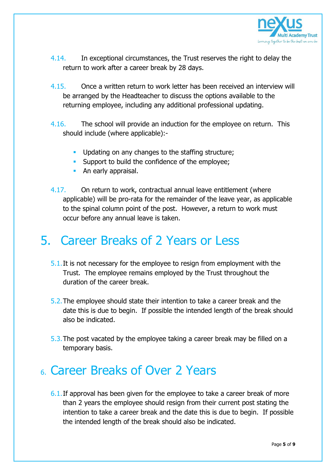

- 4.14. In exceptional circumstances, the Trust reserves the right to delay the return to work after a career break by 28 days.
- 4.15. Once a written return to work letter has been received an interview will be arranged by the Headteacher to discuss the options available to the returning employee, including any additional professional updating.
- 4.16. The school will provide an induction for the employee on return. This should include (where applicable):-
	- **Updating on any changes to the staffing structure;**
	- **Support to build the confidence of the employee;**
	- **An early appraisal.**
- 4.17. On return to work, contractual annual leave entitlement (where applicable) will be pro-rata for the remainder of the leave year, as applicable to the spinal column point of the post. However, a return to work must occur before any annual leave is taken.

#### 5. Career Breaks of 2 Years or Less

- 5.1.It is not necessary for the employee to resign from employment with the Trust. The employee remains employed by the Trust throughout the duration of the career break.
- 5.2.The employee should state their intention to take a career break and the date this is due to begin. If possible the intended length of the break should also be indicated.
- 5.3.The post vacated by the employee taking a career break may be filled on a temporary basis.

## 6. Career Breaks of Over 2 Years

6.1.If approval has been given for the employee to take a career break of more than 2 years the employee should resign from their current post stating the intention to take a career break and the date this is due to begin. If possible the intended length of the break should also be indicated.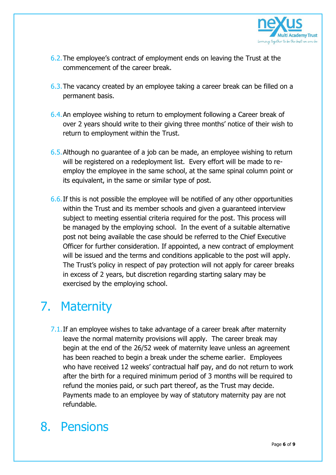

- 6.2.The employee's contract of employment ends on leaving the Trust at the commencement of the career break.
- 6.3.The vacancy created by an employee taking a career break can be filled on a permanent basis.
- 6.4.An employee wishing to return to employment following a Career break of over 2 years should write to their giving three months' notice of their wish to return to employment within the Trust.
- 6.5.Although no guarantee of a job can be made, an employee wishing to return will be registered on a redeployment list. Every effort will be made to reemploy the employee in the same school, at the same spinal column point or its equivalent, in the same or similar type of post.
- 6.6.If this is not possible the employee will be notified of any other opportunities within the Trust and its member schools and given a guaranteed interview subject to meeting essential criteria required for the post. This process will be managed by the employing school. In the event of a suitable alternative post not being available the case should be referred to the Chief Executive Officer for further consideration. If appointed, a new contract of employment will be issued and the terms and conditions applicable to the post will apply. The Trust's policy in respect of pay protection will not apply for career breaks in excess of 2 years, but discretion regarding starting salary may be exercised by the employing school.

# 7. Maternity

7.1. If an employee wishes to take advantage of a career break after maternity leave the normal maternity provisions will apply. The career break may begin at the end of the 26/52 week of maternity leave unless an agreement has been reached to begin a break under the scheme earlier. Employees who have received 12 weeks' contractual half pay, and do not return to work after the birth for a required minimum period of 3 months will be required to refund the monies paid, or such part thereof, as the Trust may decide. Payments made to an employee by way of statutory maternity pay are not refundable.

# 8. Pensions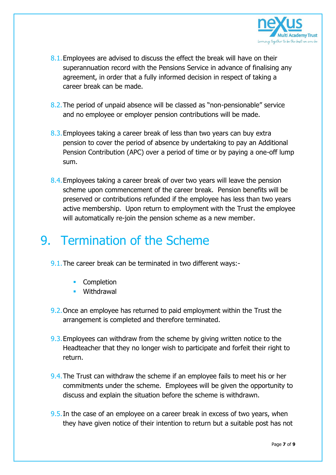

- 8.1. Employees are advised to discuss the effect the break will have on their superannuation record with the Pensions Service in advance of finalising any agreement, in order that a fully informed decision in respect of taking a career break can be made.
- 8.2.The period of unpaid absence will be classed as "non-pensionable" service and no employee or employer pension contributions will be made.
- 8.3.Employees taking a career break of less than two years can buy extra pension to cover the period of absence by undertaking to pay an Additional Pension Contribution (APC) over a period of time or by paying a one-off lump sum.
- 8.4.Employees taking a career break of over two years will leave the pension scheme upon commencement of the career break. Pension benefits will be preserved or contributions refunded if the employee has less than two years active membership. Upon return to employment with the Trust the employee will automatically re-join the pension scheme as a new member.

### 9. Termination of the Scheme

- 9.1.The career break can be terminated in two different ways:-
	- **•** Completion
	- Withdrawal
- 9.2.Once an employee has returned to paid employment within the Trust the arrangement is completed and therefore terminated.
- 9.3. Employees can withdraw from the scheme by giving written notice to the Headteacher that they no longer wish to participate and forfeit their right to return.
- 9.4.The Trust can withdraw the scheme if an employee fails to meet his or her commitments under the scheme. Employees will be given the opportunity to discuss and explain the situation before the scheme is withdrawn.
- 9.5.In the case of an employee on a career break in excess of two years, when they have given notice of their intention to return but a suitable post has not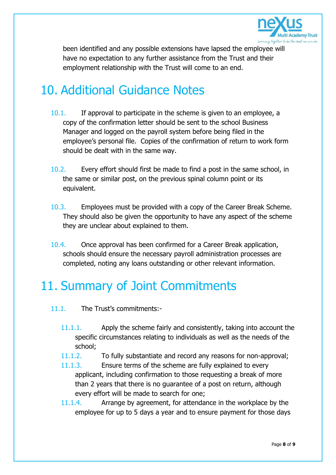

been identified and any possible extensions have lapsed the employee will have no expectation to any further assistance from the Trust and their employment relationship with the Trust will come to an end.

## 10. Additional Guidance Notes

- 10.1. If approval to participate in the scheme is given to an employee, a copy of the confirmation letter should be sent to the school Business Manager and logged on the payroll system before being filed in the employee's personal file. Copies of the confirmation of return to work form should be dealt with in the same way.
- 10.2. Every effort should first be made to find a post in the same school, in the same or similar post, on the previous spinal column point or its equivalent.
- 10.3. Employees must be provided with a copy of the Career Break Scheme. They should also be given the opportunity to have any aspect of the scheme they are unclear about explained to them.
- 10.4. Once approval has been confirmed for a Career Break application, schools should ensure the necessary payroll administration processes are completed, noting any loans outstanding or other relevant information.

# 11. Summary of Joint Commitments

- 11.1. The Trust's commitments:-
	- 11.1.1. Apply the scheme fairly and consistently, taking into account the specific circumstances relating to individuals as well as the needs of the school;
	- 11.1.2. To fully substantiate and record any reasons for non-approval;
	- 11.1.3. Ensure terms of the scheme are fully explained to every applicant, including confirmation to those requesting a break of more than 2 years that there is no guarantee of a post on return, although every effort will be made to search for one;
	- 11.1.4. Arrange by agreement, for attendance in the workplace by the employee for up to 5 days a year and to ensure payment for those days